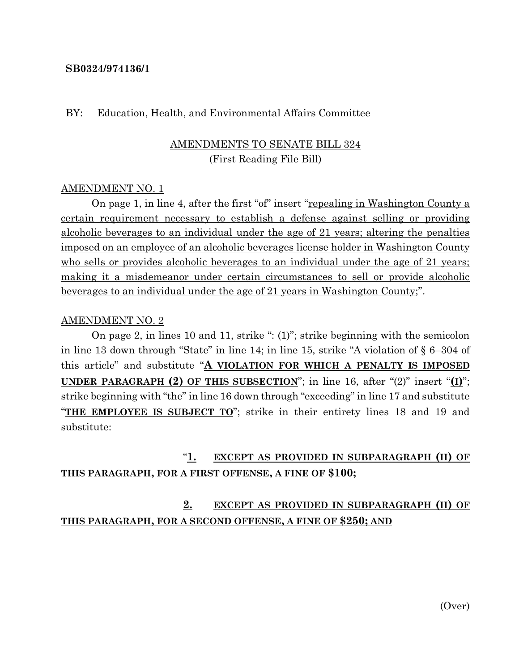#### **SB0324/974136/1**

#### BY: Education, Health, and Environmental Affairs Committee

### AMENDMENTS TO SENATE BILL 324 (First Reading File Bill)

#### AMENDMENT NO. 1

On page 1, in line 4, after the first "of" insert "repealing in Washington County a certain requirement necessary to establish a defense against selling or providing alcoholic beverages to an individual under the age of 21 years; altering the penalties imposed on an employee of an alcoholic beverages license holder in Washington County who sells or provides alcoholic beverages to an individual under the age of 21 years; making it a misdemeanor under certain circumstances to sell or provide alcoholic beverages to an individual under the age of 21 years in Washington County;".

#### AMENDMENT NO. 2

On page 2, in lines 10 and 11, strike ": (1)"; strike beginning with the semicolon in line 13 down through "State" in line 14; in line 15, strike "A violation of § 6–304 of this article" and substitute "**A VIOLATION FOR WHICH A PENALTY IS IMPOSED UNDER PARAGRAPH (2) OF THIS SUBSECTION**"; in line 16, after "(2)" insert "**(I)**"; strike beginning with "the" in line 16 down through "exceeding" in line 17 and substitute "THE EMPLOYEE IS SUBJECT TO"; strike in their entirety lines 18 and 19 and substitute:

# "**1. EXCEPT AS PROVIDED IN SUBPARAGRAPH (II) OF THIS PARAGRAPH, FOR A FIRST OFFENSE, A FINE OF \$100;**

## **2. EXCEPT AS PROVIDED IN SUBPARAGRAPH (II) OF THIS PARAGRAPH, FOR A SECOND OFFENSE, A FINE OF \$250; AND**